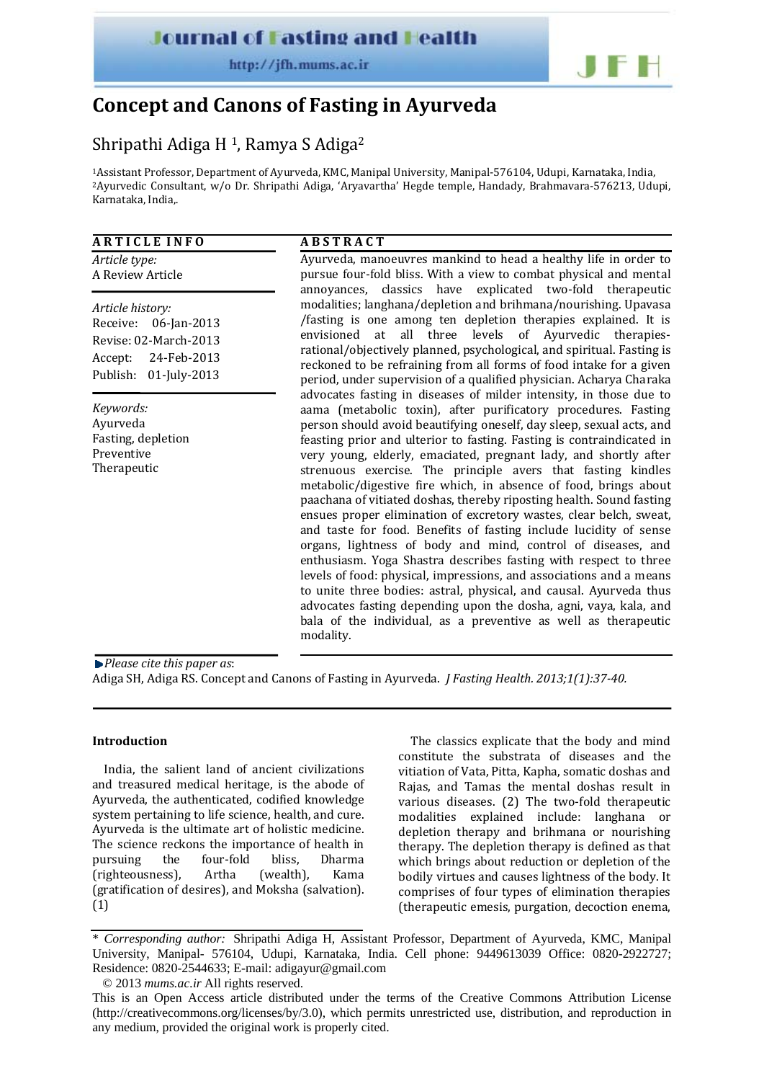**Journal of Fasting and Health** 

http://ifh.mums.ac.ir



# **Concept and Canons of Fasting in Ayurveda**

## Shripathi Adiga H<sup>1</sup>, Ramya S Adiga<sup>2</sup>

1Assistant Professor, Department of Ayurveda, KMC, Manipal University, Manipal‐576104, Udupi, Karnataka, India, 2Ayurvedic Consultant, w/o Dr. Shripathi Adiga, 'Aryavartha' Hegde temple, Handady, Brahmavara‐576213, Udupi, Karnataka, India,.

## **A R T I C L E I N F O**

*Article type:* A Review Article

*Article history:* Receive: 06‐Jan‐2013 Revise: 02‐March‐2013 Accept: 24‐Feb‐2013 Publish: 01‐July‐2013

*Keywords:* Ayurveda Fasting, depletion Preventive Therapeutic

## **A B S T R A C T**

Ayurveda, manoeuvres mankind to head a healthy life in order to pursue four‐fold bliss. With a view to combat physical and mental annoyances, classics have explicated two‐fold therapeutic modalities; langhana/depletion and brihmana/nourishing. Upavasa /fasting is one among ten depletion therapies explained. It is envisioned at all three levels of Ayurvedic therapiesrational/objectively planned, psychological, and spiritual. Fasting is reckoned to be refraining from all forms of food intake for a given period, under supervision of a qualified physician. Acharya Charaka advocates fasting in diseases of milder intensity, in those due to aama (metabolic toxin), after purificatory procedures. Fasting person should avoid beautifying oneself, day sleep, sexual acts, and feasting prior and ulterior to fasting. Fasting is contraindicated in very young, elderly, emaciated, pregnant lady, and shortly after strenuous exercise. The principle avers that fasting kindles metabolic/digestive fire which, in absence of food, brings about paachana of vitiated doshas, thereby riposting health. Sound fasting ensues proper elimination of excretory wastes, clear belch, sweat, and taste for food. Benefits of fasting include lucidity of sense organs, lightness of body and mind, control of diseases, and enthusiasm. Yoga Shastra describes fasting with respect to three levels of food: physical, impressions, and associations and a means to unite three bodies: astral, physical, and causal. Ayurveda thus advocates fasting depending upon the dosha, agni, vaya, kala, and bala of the individual, as a preventive as well as therapeutic modality.

*Please cite this paper as*:

Adiga SH, Adiga RS. Concept and Canons of Fasting in Ayurveda. *J Fasting Health. 2013;1(1):3740.*

### **Introduction**

India, the salient land of ancient civilizations and treasured medical heritage, is the abode of Ayurveda, the authenticated, codified knowledge system pertaining to life science, health, and cure. Ayurveda is the ultimate art of holistic medicine. The science reckons the importance of health in pursuing the four‐fold bliss, Dharma (righteousness), Artha (wealth), Kama (gratification of desires), and Moksha (salvation). (1)

The classics explicate that the body and mind constitute the substrata of diseases and the vitiation of Vata, Pitta, Kapha, somatic doshas and Rajas, and Tamas the mental doshas result in various diseases. (2) The two-fold therapeutic modalities explained include: langhana or depletion therapy and brihmana or nourishing therapy. The depletion therapy is defined as that which brings about reduction or depletion of the bodily virtues and causes lightness of the body. It comprises of four types of elimination therapies (therapeutic emesis, purgation, decoction enema,

<sup>\*</sup> *Corresponding author:* Shripathi Adiga H, Assistant Professor, Department of Ayurveda, KMC, Manipal University, Manipal- 576104, Udupi, Karnataka, India. Cell phone: 9449613039 Office: 0820-2922727; Residence: 0820-2544633; E-mail: adigayur@gmail.com

<sup>© 2013</sup> *mums.ac.ir* All rights reserved.

This is an Open Access article distributed under the terms of the Creative Commons Attribution License (http://creativecommons.org/licenses/by/3.0), which permits unrestricted use, distribution, and reproduction in any medium, provided the original work is properly cited.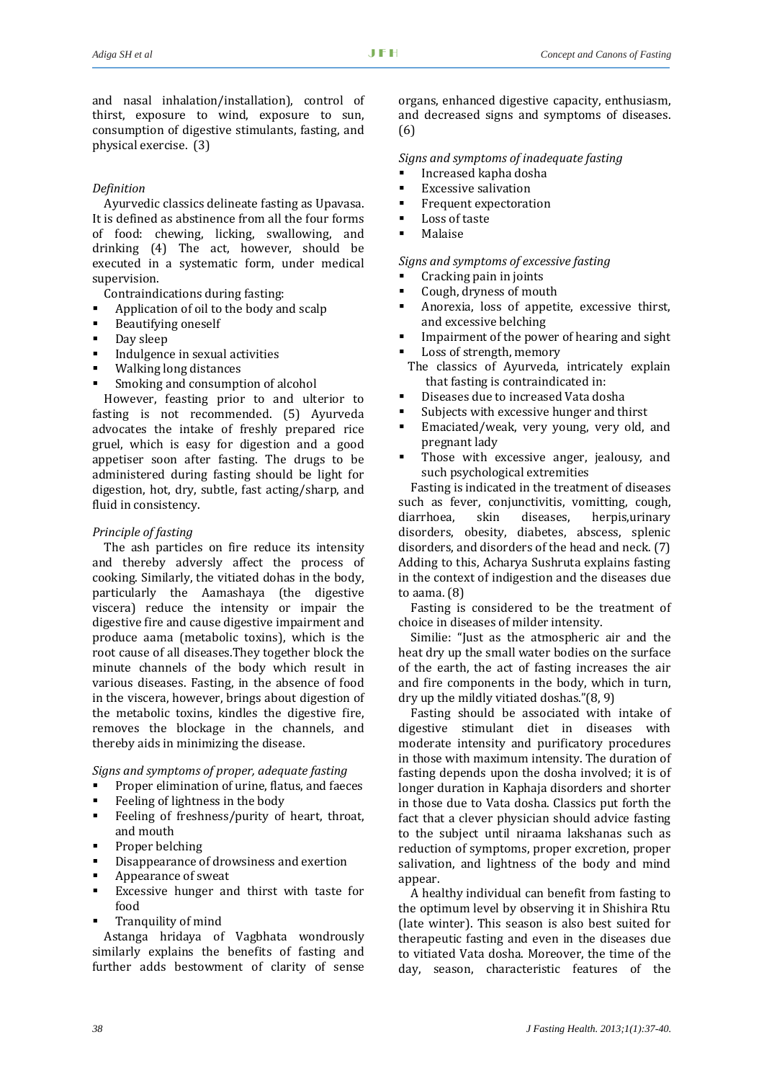and nasal inhalation/installation), control of thirst, exposure to wind, exposure to sun, consumption of digestive stimulants, fasting, and physical exercise. (3)

#### *Definition*

Ayurvedic classics delineate fasting as Upavasa. It is defined as abstinence from all the four forms of food: chewing, licking, swallowing, and drinking (4) The act, however, should be executed in a systematic form, under medical supervision.

Contraindications during fasting:

- Application of oil to the body and scalp
- Beautifying oneself
- Day sleep
- Indulgence in sexual activities
- Walking long distances
- Smoking and consumption of alcohol

However, feasting prior to and ulterior to fasting is not recommended. (5) Ayurveda advocates the intake of freshly prepared rice gruel, which is easy for digestion and a good appetiser soon after fasting. The drugs to be administered during fasting should be light for digestion, hot, dry, subtle, fast acting/sharp, and fluid in consistency.

#### *Principle of fasting*

The ash particles on fire reduce its intensity and thereby adversly affect the process of cooking. Similarly, the vitiated dohas in the body, particularly the Aamashaya (the digestive viscera) reduce the intensity or impair the digestive fire and cause digestive impairment and produce aama (metabolic toxins), which is the root cause of all diseases.They together block the minute channels of the body which result in various diseases. Fasting, in the absence of food in the viscera, however, brings about digestion of the metabolic toxins, kindles the digestive fire, removes the blockage in the channels, and thereby aids in minimizing the disease.

*Signs and symptoms of proper, adequate fasting*

- Proper elimination of urine, flatus, and faeces
- Feeling of lightness in the body
- Feeling of freshness/purity of heart, throat, and mouth
- Proper belching
- Disappearance of drowsiness and exertion
- Appearance of sweat
- Excessive hunger and thirst with taste for food
- Tranquility of mind

Astanga hridaya of Vagbhata wondrously similarly explains the benefits of fasting and further adds bestowment of clarity of sense

organs, enhanced digestive capacity, enthusiasm, and decreased signs and symptoms of diseases. (6)

*Signs and symptoms of inadequate fasting*

- Increased kapha dosha
- **Excessive salivation**
- **Frequent expectoration**
- **Loss of taste**
- Malaise

*Signs and symptoms of excessive fasting*

- Cracking pain in joints
- Cough, dryness of mouth
- Anorexia, loss of appetite, excessive thirst, and excessive belching
- Impairment of the power of hearing and sight
- Loss of strength, memory
- The classics of Ayurveda, intricately explain that fasting is contraindicated in:
- Diseases due to increased Vata dosha
- Subjects with excessive hunger and thirst
- Emaciated/weak, very young, very old, and pregnant lady
- Those with excessive anger, jealousy, and such psychological extremities

Fasting is indicated in the treatment of diseases such as fever, conjunctivitis, vomitting, cough, diarrhoea, skin diseases, herpis,urinary disorders, obesity, diabetes, abscess, splenic disorders, and disorders of the head and neck. (7) Adding to this, Acharya Sushruta explains fasting in the context of indigestion and the diseases due to aama. (8)

Fasting is considered to be the treatment of choice in diseases of milder intensity.

Similie: "Just as the atmospheric air and the heat dry up the small water bodies on the surface of the earth, the act of fasting increases the air and fire components in the body, which in turn, dry up the mildly vitiated doshas."(8, 9)

Fasting should be associated with intake of digestive stimulant diet in diseases with moderate intensity and purificatory procedures in those with maximum intensity. The duration of fasting depends upon the dosha involved; it is of longer duration in Kaphaja disorders and shorter in those due to Vata dosha. Classics put forth the fact that a clever physician should advice fasting to the subject until niraama lakshanas such as reduction of symptoms, proper excretion, proper salivation, and lightness of the body and mind appear.

A healthy individual can benefit from fasting to the optimum level by observing it in Shishira Rtu (late winter). This season is also best suited for therapeutic fasting and even in the diseases due to vitiated Vata dosha. Moreover, the time of the day, season, characteristic features of the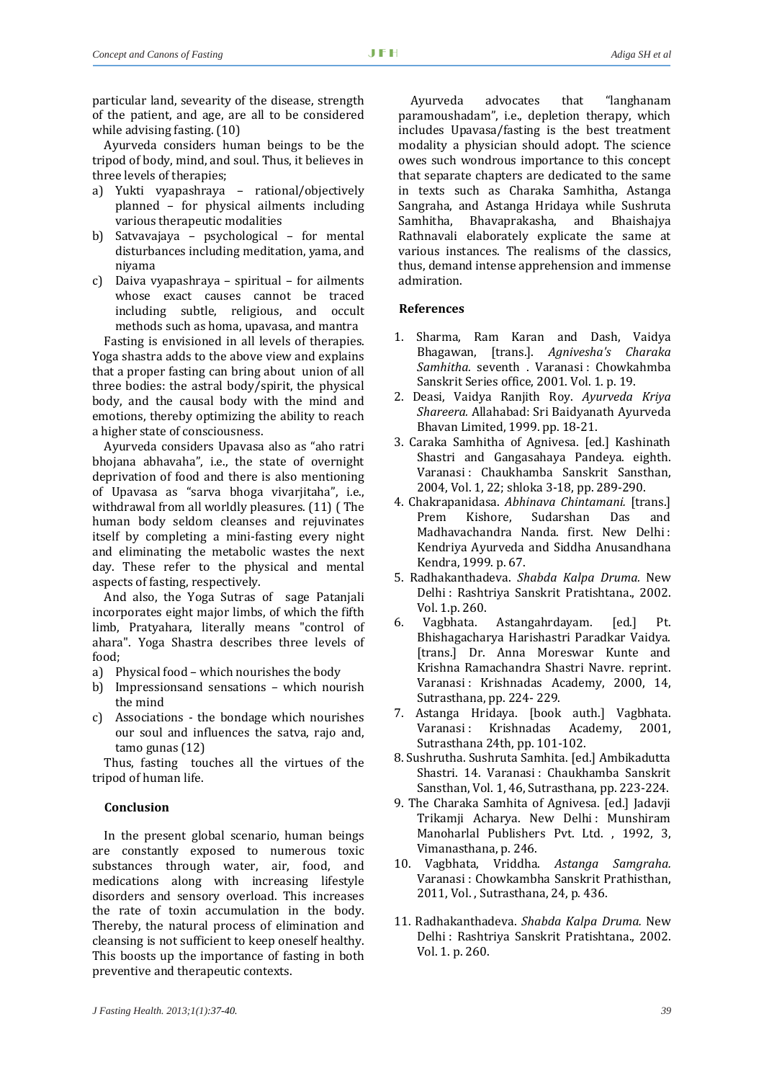particular land, sevearity of the disease, strength of the patient, and age, are all to be considered while advising fasting. (10)

Ayurveda considers human beings to be the tripod of body, mind, and soul. Thus, it believes in three levels of therapies;

- a) Yukti vyapashraya rational/objectively planned – for physical ailments including various therapeutic modalities
- b) Satvavajaya psychological for mental disturbances including meditation, yama, and niyama
- c) Daiva vyapashraya spiritual for ailments whose exact causes cannot be traced including subtle, religious, and occult methods such as homa, upavasa, and mantra

Fasting is envisioned in all levels of therapies. Yoga shastra adds to the above view and explains that a proper fasting can bring about union of all three bodies: the astral body/spirit, the physical body, and the causal body with the mind and emotions, thereby optimizing the ability to reach a higher state of consciousness.

Ayurveda considers Upavasa also as "aho ratri bhojana abhavaha", i.e., the state of overnight deprivation of food and there is also mentioning of Upavasa as "sarva bhoga vivarjitaha", i.e., withdrawal from all worldly pleasures. (11) ( The human body seldom cleanses and rejuvinates itself by completing a mini‐fasting every night and eliminating the metabolic wastes the next day. These refer to the physical and mental aspects of fasting, respectively.

And also, the Yoga Sutras of sage Patanjali incorporates eight major limbs, of which the fifth limb, Pratyahara, literally means "control of ahara". Yoga Shastra describes three levels of food;

- a) Physical food which nourishes the body
- b) Impressionsand sensations which nourish the mind
- c) Associations the bondage which nourishes our soul and influences the satva, rajo and, tamo gunas (12)

Thus, fasting touches all the virtues of the tripod of human life.

### **Conclusion**

In the present global scenario, human beings are constantly exposed to numerous toxic substances through water, air, food, and medications along with increasing lifestyle disorders and sensory overload. This increases the rate of toxin accumulation in the body. Thereby, the natural process of elimination and cleansing is not sufficient to keep oneself healthy. This boosts up the importance of fasting in both preventive and therapeutic contexts.

Ayurveda advocates that "langhanam paramoushadam", i.e., depletion therapy, which includes Upavasa/fasting is the best treatment modality a physician should adopt. The science owes such wondrous importance to this concept that separate chapters are dedicated to the same in texts such as Charaka Samhitha, Astanga Sangraha, and Astanga Hridaya while Sushruta Samhitha, Bhavaprakasha, and Bhaishajya Rathnavali elaborately explicate the same at various instances. The realisms of the classics, thus, demand intense apprehension and immense admiration.

#### **References**

- 1. Sharma, Ram Karan and Dash, Vaidya Bhagawan, [trans.]. *Agnivesha's Charaka Samhitha.* seventh . Varanasi : Chowkahmba Sanskrit Series office, 2001. Vol. 1. p. 19.
- 2. Deasi, Vaidya Ranjith Roy. *Ayurveda Kriya Shareera.* Allahabad: Sri Baidyanath Ayurveda Bhavan Limited, 1999. pp. 18‐21.
- 3. Caraka Samhitha of Agnivesa. [ed.] Kashinath Shastri and Gangasahaya Pandeya. eighth. Varanasi : Chaukhamba Sanskrit Sansthan, 2004, Vol. 1, 22; shloka 3‐18, pp. 289‐290.
- 4. Chakrapanidasa. *Abhinava Chintamani.* [trans.] Prem Kishore, Sudarshan Das and Madhavachandra Nanda. first. New Delhi : Kendriya Ayurveda and Siddha Anusandhana Kendra, 1999. p. 67.
- 5. Radhakanthadeva. *Shabda Kalpa Druma.* New Delhi : Rashtriya Sanskrit Pratishtana., 2002. Vol. 1.p. 260.
- 6. Vagbhata. Astangahrdayam. [ed.] Pt. Bhishagacharya Harishastri Paradkar Vaidya. [trans.] Dr. Anna Moreswar Kunte and Krishna Ramachandra Shastri Navre. reprint. Varanasi : Krishnadas Academy, 2000, 14, Sutrasthana, pp. 224‐ 229.
- 7. Astanga Hridaya. [book auth.] Vagbhata. Varanasi : Krishnadas Academy, 2001, Sutrasthana 24th, pp. 101‐102.
- 8. Sushrutha. Sushruta Samhita. [ed.] Ambikadutta Shastri. 14. Varanasi : Chaukhamba Sanskrit Sansthan, Vol. 1, 46, Sutrasthana, pp. 223‐224.
- 9. The Charaka Samhita of Agnivesa. [ed.] Jadavji Trikamji Acharya. New Delhi : Munshiram Manoharlal Publishers Pvt. Ltd., 1992, 3, Vimanasthana, p. 246.
- 10. Vagbhata, Vriddha. *Astanga Samgraha.* Varanasi : Chowkambha Sanskrit Prathisthan, 2011, Vol. , Sutrasthana, 24, p. 436.
- 11. Radhakanthadeva. *Shabda Kalpa Druma.* New Delhi : Rashtriya Sanskrit Pratishtana., 2002. Vol. 1. p. 260.